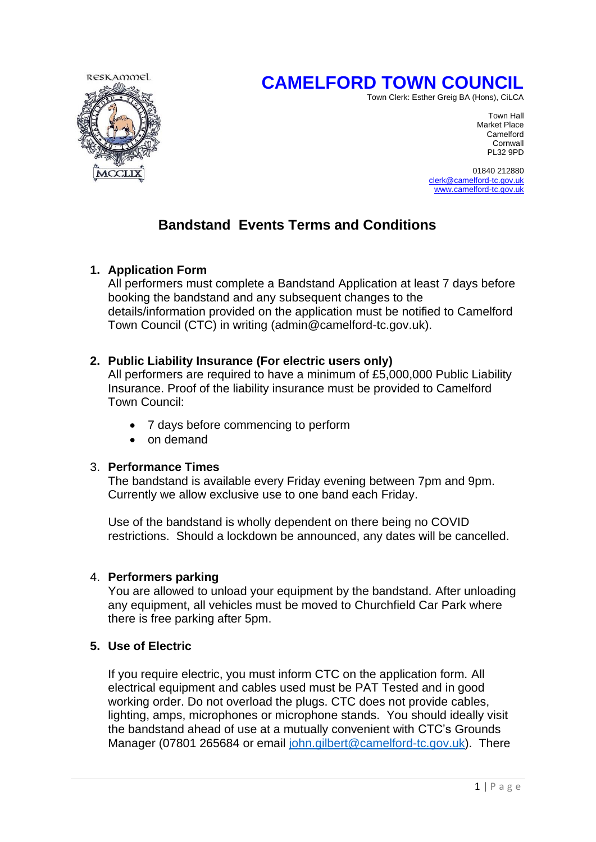# **CAMELFORD TOWN COUNCIL**



Town Clerk: Esther Greig BA (Hons), CiLCA

Town Hall Market Place Camelford Cornwall<br>PL32 9PD PL32 9PD

> 01840 212880 [clerk@camelford-tc.gov.uk](mailto:clerk@camelford-tc.gov.uk) [www.camelford-tc.gov.uk](http://www.camelfordtown.net/)

# **Bandstand Events Terms and Conditions**

# **1. Application Form**

All performers must complete a Bandstand Application at least 7 days before booking the bandstand and any subsequent changes to the details/information provided on the application must be notified to Camelford Town Council (CTC) in writing (admin@camelford-tc.gov.uk).

# **2. Public Liability Insurance (For electric users only)**

All performers are required to have a minimum of £5,000,000 Public Liability Insurance. Proof of the liability insurance must be provided to Camelford Town Council:

- 7 days before commencing to perform
- on demand

# 3. **Performance Times**

The bandstand is available every Friday evening between 7pm and 9pm. Currently we allow exclusive use to one band each Friday.

Use of the bandstand is wholly dependent on there being no COVID restrictions. Should a lockdown be announced, any dates will be cancelled.

# 4. **Performers parking**

You are allowed to unload your equipment by the bandstand. After unloading any equipment, all vehicles must be moved to Churchfield Car Park where there is free parking after 5pm.

# **5. Use of Electric**

If you require electric, you must inform CTC on the application form. All electrical equipment and cables used must be PAT Tested and in good working order. Do not overload the plugs. CTC does not provide cables, lighting, amps, microphones or microphone stands. You should ideally visit the bandstand ahead of use at a mutually convenient with CTC's Grounds Manager (07801 265684 or email [john.gilbert@camelford-tc.gov.uk\)](mailto:john.gilbert@camelford-tc.gov.uk). There